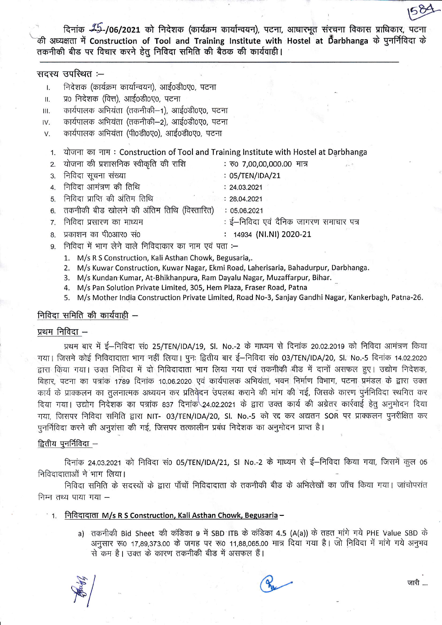दिनांक 25-/06/2021 को निदेशक (कार्यक्रम कार्यान्वयन), पटना, आधारभूत संरचना विकास प्राधिकार, पटना की अध्यक्षता में Construction of Tool and Training Institute with Hostel at Darbhanga के पुनर्निविदा के तकनीकी बीड पर विचार करने हेतु निविदा समिति की बैठक की कार्यवाही।

## सदस्य उपस्थित :--

- निदेशक (कार्यक्रम कार्यान्वयन), आई0डी0ए0, पटना  $\mathbf{L}$
- प्र0 निदेशक (वित्त), आई0डी0ए0, पटना Ш.
- कार्यपालक अभियंता (तकनीकी-1), आई0डी0ए0, पटना Ш.
- कार्यपालक अभियंता (तकनीकी-2), आई0डी0ए0, पटना IV.
- कार्यपालक अभियंता (पी०डी०ए०), आई०डी०ए०, पटना V.

#### योजना का नाम: Construction of Tool and Training Institute with Hostel at Darbhanga  $1.$

- 2. योजना की प्रशासनिक स्वीकृति की राशि : रु0 7,00,00,000.00 मात्र
- 3. निविदा सचना संख्या
- 4. निविदा आमंत्रण की तिथि  $: 24.03.2021$
- निविदा प्राप्ति की अंतिम तिथि  $: 28.04.2021$ 5.
- तकनीकी बीड खोलने की अंतिम तिथि (विस्तारित)  $: 05.06.2021$ 6.
- निविदा प्रसारण का माध्यम : ई–निविदा एवं दैनिक जागरण समाचार पत्र 7.
- प्रकाशन का पी0आर0 सं0  $\mathsf{R}$
- : 14934 (NI.NI) 2020-21
- निविदा में भाग लेने वाले निविदाकार का नाम एवं पता :q
	- 1. M/s R S Construction, Kali Asthan Chowk, Begusaria,.
	- 2. M/s Kuwar Construction, Kuwar Nagar, Ekmi Road, Laherisaria, Bahadurpur, Darbhanga.
	- 3. M/s Kundan Kumar, At-Bhikhanpura, Ram Dayalu Nagar, Muzaffarpur, Bihar.
	- 4. M/s Pan Solution Private Limited, 305, Hem Plaza, Fraser Road, Patna
	- 5. M/s Mother India Construction Private Limited, Road No-3, Sanjay Gandhi Nagar, Kankerbagh, Patna-26.

: 05/TEN/IDA/21

# निविदा समिति की कार्यवाही -

## प्रथम निविदा -

प्रथम बार में ई-निविदा सं0 25/TEN/IDA/19, SI. No.-2 के माध्यम से दिनांक 20.02.2019 को निविदा आमंत्रण किया गया। जिसमे कोई निविदादाता भाग नहीं लिया। पूनः द्वितीय बार ई–निविदा सं0 03/TEN/IDA/20, SI. No.-5 दिनांक 14.02.2020 द्वारा किया गया। उक्त निविदा में दो निविदादाता भाग लिया गया एवं तकनीकी बीड में दानों असफल हुए। उद्योग निदेशक, बिहार, पटना का पत्रांक 1789 दिनांक 10.06.2020 एवं कार्यपालक अभियंता, भवन निर्माण विभाग, पटना प्रमंडल के द्वारा उक्त कार्य के प्राक्कलन का तुलनात्मक अध्ययन कर प्रतिवेदन उपलब्ध कराने की मांग की गई, जिसके कारण पुर्ननिविदा स्थगित कर दिया गया। उद्योग निदेशक का पत्रांक 837 दिनांक 24.02.2021 के द्वारा उक्त कार्य की अग्रेतर कार्रवाई हेतु अनुमोदन दिया गया, जिसपर निविदा समिति द्वारा NIT- 03/TEN/IDA/20, SI. No.-5 को रद्द कर अद्यतन SOR पर प्राक्कलन पुनरीक्षित कर पनर्निविदा करने की अनुशंसा की गई, जिसपर तत्कालीन प्रबंध निदेशक का अनुमोदन प्राप्त है।

## द्वितीय पुनर्निविदा -

दिनांक 24.03.2021 को निविदा सं0 05/TEN/IDA/21, SI No.-2 के माध्यम से ई-निविदा किया गया, जिसमें कुल 05 निविदादाताओं ने भाग लिया।

निविदा समिति के सदस्यों के द्वारा पाँचों निविदादाता के तकनीकी बीड के अभिलेखों का जाँच किया गया। जांचोपरांत निम्न तथ्य पाया गया -

#### 1. निविदादाता M/s R S Construction, Kali Asthan Chowk, Begusaria –

a) तकनीकी Bid Sheet की कंडिका 9 में SBD ITB के कंडिका 4.5 (A(a)) के तहत मांगे गये PHE Value SBD के अनुसार रू0 17,89,373.00 के जगह पर रू0 11,88,065.00 मात्र दिया गया है। जो निविदा में मांगे गये अनुभव से कम है। उक्त के कारण तकनीकी बीड में असफल हैं।